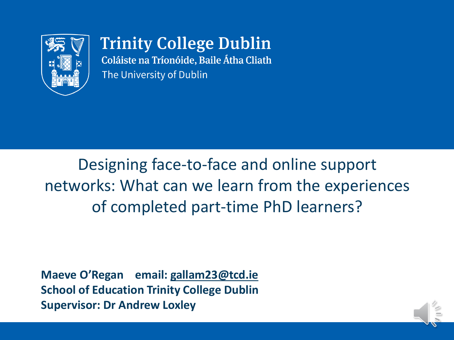

**Trinity College Dublin** Coláiste na Tríonóide, Baile Átha Cliath The University of Dublin

Designing face-to-face and online support networks: What can we learn from the experiences of completed part-time PhD learners?

**Maeve O'Regan email: [gallam23@tcd.ie](mailto:gallam23@tcd.ie) School of Education Trinity College Dublin Supervisor: Dr Andrew Loxley**

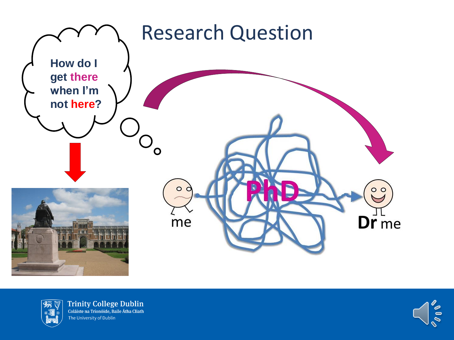



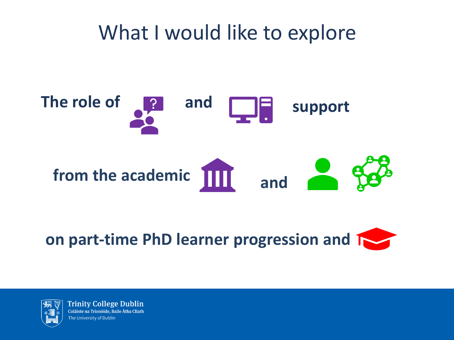#### What I would like to explore



**on part-time PhD learner progression and 1** 

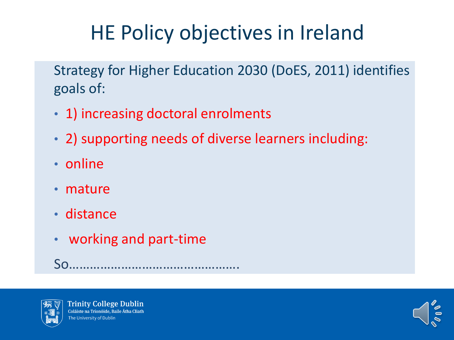# HE Policy objectives in Ireland

Strategy for Higher Education 2030 (DoES, 2011) identifies goals of:

- 1) increasing doctoral enrolments
- 2) supporting needs of diverse learners including:
- online
- mature
- distance
- working and part-time

So………………………………………….



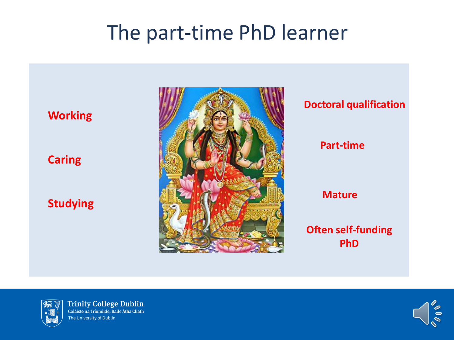#### The part-time PhD learner



# **Doctoral qualification Part-time Mature Often self-funding PhD**



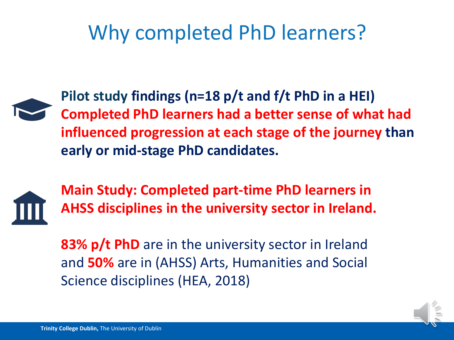### Why completed PhD learners?



**Pilot study findings (n=18 p/t and f/t PhD in a HEI) Completed PhD learners had a better sense of what had influenced progression at each stage of the journey than early or mid-stage PhD candidates.**



**Main Study: Completed part-time PhD learners in AHSS disciplines in the university sector in Ireland.**

**83% p/t PhD** are in the university sector in Ireland and **50%** are in (AHSS) Arts, Humanities and Social Science disciplines (HEA, 2018)

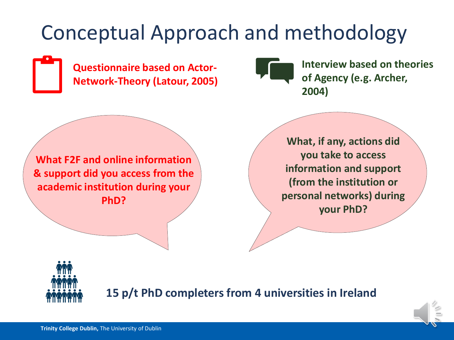#### Conceptual Approach and methodology

**Questionnaire based on Actor-Network-Theory (Latour, 2005)**



**Interview based on theories of Agency (e.g. Archer, 2004)**

**What F2F and online information & support did you access from the academic institution during your PhD?**

**What, if any, actions did you take to access information and support (from the institution or personal networks) during your PhD?**



**15 p/t PhD completers from 4 universities in Ireland**

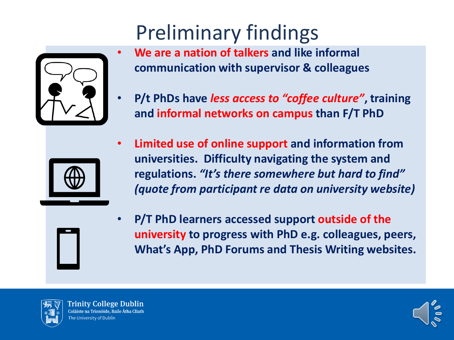# Preliminary findings



- **We are a nation of talkers and like informal communication with supervisor & colleagues**
- **P/t PhDs have** *less access to "coffee culture"***, training and informal networks on campus than F/T PhD**



• **Limited use of online support and information from universities. Difficulty navigating the system and regulations.** *"It's there somewhere but hard to find" (quote from participant re data on university website)* 



• **P/T PhD learners accessed support outside of the university to progress with PhD e.g. colleagues, peers, What's App, PhD Forums and Thesis Writing websites.**



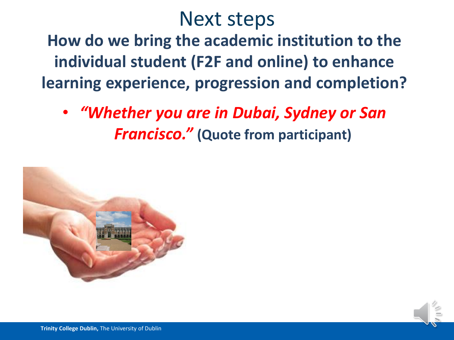#### Next steps

**How do we bring the academic institution to the individual student (F2F and online) to enhance learning experience, progression and completion?**

• *"Whether you are in Dubai, Sydney or San Francisco."* **(Quote from participant)**